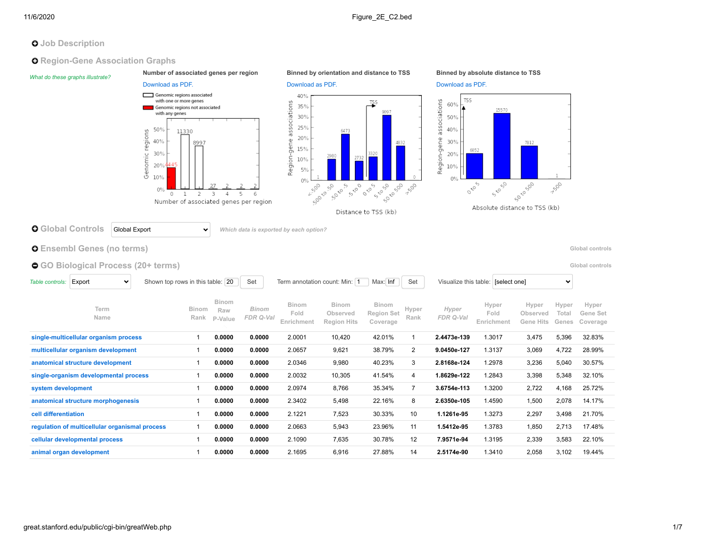### **O** Job Description

**Q** Region-Gene Association Graphs

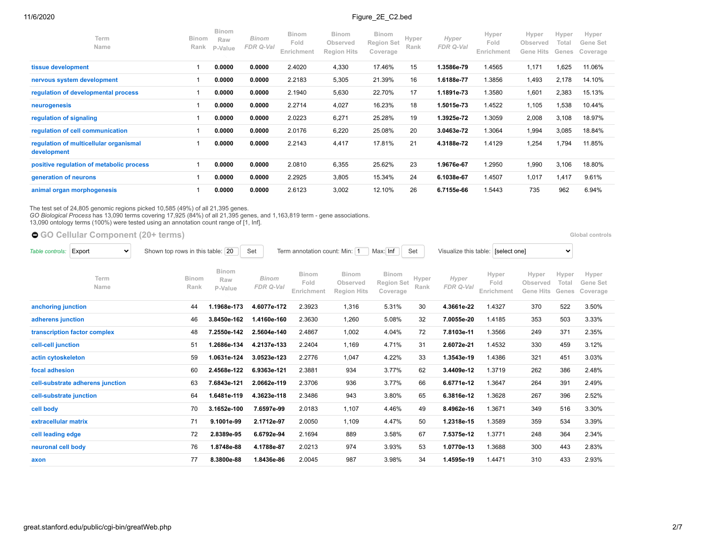| Term<br>Name                                          | <b>Binom</b><br>Rank | <b>Binom</b><br>Raw<br>P-Value | Binom<br>FDR Q-Val | <b>Binom</b><br>Fold<br>Enrichment | <b>Binom</b><br>Observed<br><b>Region Hits</b> | <b>Binom</b><br><b>Region Set</b><br>Coverage | Hyper<br>Rank | Hyper<br>FDR Q-Val | Hyper<br>Fold<br>Enrichment | Hyper<br>Observed<br>Gene Hits | Hyper<br>Total<br>Genes | Hyper<br>Gene Set<br>Coverage |
|-------------------------------------------------------|----------------------|--------------------------------|--------------------|------------------------------------|------------------------------------------------|-----------------------------------------------|---------------|--------------------|-----------------------------|--------------------------------|-------------------------|-------------------------------|
| tissue development                                    |                      | 0.0000                         | 0.0000             | 2.4020                             | 4,330                                          | 17.46%                                        | 15            | 1.3586e-79         | 1.4565                      | 1,171                          | 1,625                   | 11.06%                        |
| nervous system development                            |                      | 0.0000                         | 0.0000             | 2.2183                             | 5,305                                          | 21.39%                                        | 16            | 1.6188e-77         | 1.3856                      | 1,493                          | 2,178                   | 14.10%                        |
| regulation of developmental process                   |                      | 0.0000                         | 0.0000             | 2.1940                             | 5,630                                          | 22.70%                                        | 17            | 1.1891e-73         | 1.3580                      | 1,601                          | 2,383                   | 15.13%                        |
| neurogenesis                                          |                      | 0.0000                         | 0.0000             | 2.2714                             | 4,027                                          | 16.23%                                        | 18            | 1.5015e-73         | 1.4522                      | 1,105                          | 1,538                   | 10.44%                        |
| regulation of signaling                               |                      | 0.0000                         | 0.0000             | 2.0223                             | 6,271                                          | 25.28%                                        | 19            | 1.3925e-72         | 1.3059                      | 2,008                          | 3,108                   | 18.97%                        |
| regulation of cell communication                      |                      | 0.0000                         | 0.0000             | 2.0176                             | 6,220                                          | 25.08%                                        | 20            | 3.0463e-72         | 1.3064                      | 1,994                          | 3,085                   | 18.84%                        |
| regulation of multicellular organismal<br>development |                      | 0.0000                         | 0.0000             | 2.2143                             | 4,417                                          | 17.81%                                        | 21            | 4.3188e-72         | 1.4129                      | 1,254                          | 1,794                   | 11.85%                        |
| positive regulation of metabolic process              |                      | 0.0000                         | 0.0000             | 2.0810                             | 6,355                                          | 25.62%                                        | 23            | 1.9676e-67         | 1.2950                      | 1,990                          | 3,106                   | 18.80%                        |
| generation of neurons                                 |                      | 0.0000                         | 0.0000             | 2.2925                             | 3,805                                          | 15.34%                                        | 24            | 6.1038e-67         | 1.4507                      | 1,017                          | 1,417                   | 9.61%                         |
| animal organ morphogenesis                            |                      | 0.0000                         | 0.0000             | 2.6123                             | 3,002                                          | 12.10%                                        | 26            | 6.7155e-66         | 1.5443                      | 735                            | 962                     | 6.94%                         |

 $\Box$ 

The test set of 24,805 genomic regions picked 10,585 (49%) of all 21,395 genes.<br>*GO Biological Process* has 13,090 terms covering 17,925 (84%) of all 21,395 genes, and 1,163,819 term - gene associations.<br>13,090 ontology te

**[GO Cellular Component](https://great-help.atlassian.net/wiki/spaces/GREAT/Gene+Ontology) (20+ terms) [Global controls](http://great.stanford.edu/public/cgi-bin/greatWeb.php#global_controls_header) Global controls Global controls** 

| Table controls:         | Export<br>$\checkmark$           | Shown top rows in this table: 20 |                                | Set                       | Term annotation count: Min: 1      |                                                | Max: Inf                                      | Set           | Visualize this table: [select one] |                             |                                       | $\checkmark$            |                               |
|-------------------------|----------------------------------|----------------------------------|--------------------------------|---------------------------|------------------------------------|------------------------------------------------|-----------------------------------------------|---------------|------------------------------------|-----------------------------|---------------------------------------|-------------------------|-------------------------------|
|                         | Term<br>Name                     | <b>Binom</b><br>Rank             | <b>Binom</b><br>Raw<br>P-Value | <b>Binom</b><br>FDR Q-Val | <b>Binom</b><br>Fold<br>Enrichment | <b>Binom</b><br>Observed<br><b>Region Hits</b> | <b>Binom</b><br><b>Region Set</b><br>Coverage | Hyper<br>Rank | Hyper<br>FDR Q-Val                 | Hyper<br>Fold<br>Enrichment | Hyper<br>Observed<br><b>Gene Hits</b> | Hyper<br>Total<br>Genes | Hyper<br>Gene Set<br>Coverage |
| anchoring junction      |                                  | 44                               | 1.1968e-173                    | 4.6077e-172               | 2.3923                             | 1,316                                          | 5.31%                                         | 30            | 4.3661e-22                         | 1.4327                      | 370                                   | 522                     | 3.50%                         |
| adherens junction       |                                  | 46                               | 3.8450e-162                    | 1.4160e-160               | 2.3630                             | 1,260                                          | 5.08%                                         | 32            | 7.0055e-20                         | 1.4185                      | 353                                   | 503                     | 3.33%                         |
|                         | transcription factor complex     | 48                               | 7.2550e-142                    | 2.5604e-140               | 2.4867                             | 1,002                                          | 4.04%                                         | 72            | 7.8103e-11                         | 1.3566                      | 249                                   | 371                     | 2.35%                         |
| cell-cell junction      |                                  | 51                               | 1.2686e-134                    | 4.2137e-133               | 2.2404                             | 1,169                                          | 4.71%                                         | 31            | 2.6072e-21                         | 1.4532                      | 330                                   | 459                     | 3.12%                         |
| actin cytoskeleton      |                                  | 59                               | 1.0631e-124                    | 3.0523e-123               | 2.2776                             | 1,047                                          | 4.22%                                         | 33            | 1.3543e-19                         | 1.4386                      | 321                                   | 451                     | 3.03%                         |
| focal adhesion          |                                  | 60                               | 2.4568e-122                    | 6.9363e-121               | 2.3881                             | 934                                            | 3.77%                                         | 62            | 3.4409e-12                         | 1.3719                      | 262                                   | 386                     | 2.48%                         |
|                         | cell-substrate adherens junction | 63                               | 7.6843e-121                    | 2.0662e-119               | 2.3706                             | 936                                            | 3.77%                                         | 66            | 6.6771e-12                         | 1.3647                      | 264                                   | 391                     | 2.49%                         |
| cell-substrate junction |                                  | 64                               | 1.6481e-119                    | 4.3623e-118               | 2.3486                             | 943                                            | 3.80%                                         | 65            | 6.3816e-12                         | 1.3628                      | 267                                   | 396                     | 2.52%                         |
| cell body               |                                  | 70                               | 3.1652e-100                    | 7.6597e-99                | 2.0183                             | 1,107                                          | 4.46%                                         | 49            | 8.4962e-16                         | 1.3671                      | 349                                   | 516                     | 3.30%                         |
| extracellular matrix    |                                  | 71                               | 9.1001e-99                     | 2.1712e-97                | 2.0050                             | 1,109                                          | 4.47%                                         | 50            | 1.2318e-15                         | 1.3589                      | 359                                   | 534                     | 3.39%                         |
| cell leading edge       |                                  | 72                               | 2.8389e-95                     | 6.6792e-94                | 2.1694                             | 889                                            | 3.58%                                         | 67            | 7.5375e-12                         | 1.3771                      | 248                                   | 364                     | 2.34%                         |
| neuronal cell body      |                                  | 76                               | 1.8748e-88                     | 4.1788e-87                | 2.0213                             | 974                                            | 3.93%                                         | 53            | 1.0770e-13                         | 1.3688                      | 300                                   | 443                     | 2.83%                         |
| axon                    |                                  | 77                               | 8.3800e-88                     | 1.8436e-86                | 2.0045                             | 987                                            | 3.98%                                         | 34            | 1.4595e-19                         | 1.4471                      | 310                                   | 433                     | 2.93%                         |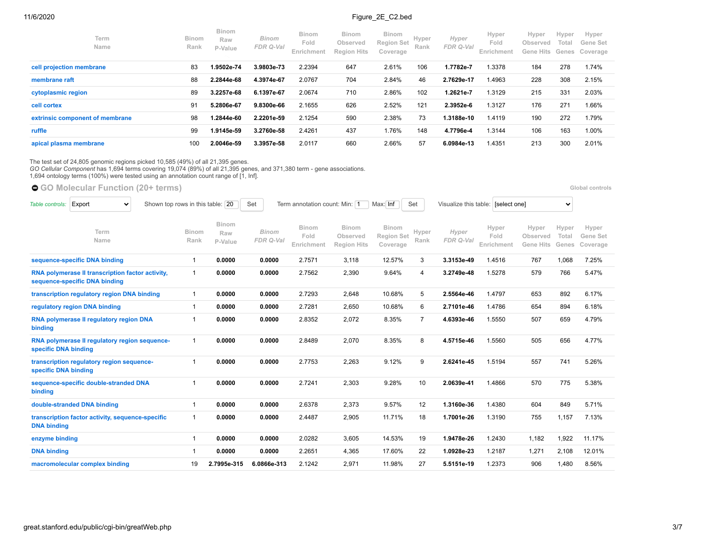| Term<br>Name                    | <b>Binom</b><br>Rank | <b>Binom</b><br>Raw<br>P-Value | <b>Binom</b><br>FDR Q-Val | <b>Binom</b><br>Fold<br>Enrichment | <b>Binom</b><br>Observed<br><b>Region Hits</b> | <b>Binom</b><br><b>Region Set</b><br>Coverage | Hyper<br>Rank | Hyper<br>FDR Q-Val | Hyper<br>Fold<br>Enrichment | Hyper<br>Observed<br>Gene Hits | Hyper<br>Total | Hyper<br>Gene Set<br>Genes Coverage |
|---------------------------------|----------------------|--------------------------------|---------------------------|------------------------------------|------------------------------------------------|-----------------------------------------------|---------------|--------------------|-----------------------------|--------------------------------|----------------|-------------------------------------|
| cell projection membrane        | 83                   | 1.9502e-74                     | 3.9803e-73                | 2.2394                             | 647                                            | 2.61%                                         | 106           | 1.7782e-7          | 1.3378                      | 184                            | 278            | 1.74%                               |
| membrane raft                   | 88                   | 2.2844e-68                     | 4.3974e-67                | 2.0767                             | 704                                            | 2.84%                                         | 46            | 2.7629e-17         | 1.4963                      | 228                            | 308            | 2.15%                               |
| cytoplasmic region              | 89                   | 3.2257e-68                     | 6.1397e-67                | 2.0674                             | 710                                            | 2.86%                                         | 102           | 1.2621e-7          | 1.3129                      | 215                            | 331            | 2.03%                               |
| cell cortex                     | 91                   | 5.2806e-67                     | 9.8300e-66                | 2.1655                             | 626                                            | 2.52%                                         | 121           | 2.3952e-6          | 1.3127                      | 176                            | 271            | 1.66%                               |
| extrinsic component of membrane | 98                   | 1.2844e-60                     | 2.2201e-59                | 2.1254                             | 590                                            | 2.38%                                         | 73            | 1.3188e-10         | 1.4119                      | 190                            | 272            | 1.79%                               |
| ruffle                          | 99                   | 1.9145e-59                     | 3.2760e-58                | 2.4261                             | 437                                            | 1.76%                                         | 148           | 4.7796e-4          | 1.3144                      | 106                            | 163            | 1.00%                               |
| apical plasma membrane          | 100                  | 2.0046e-59                     | 3.3957e-58                | 2.0117                             | 660                                            | 2.66%                                         | 57            | 6.0984e-13         | 1.4351                      | 213                            | 300            | 2.01%                               |

The test set of 24,805 genomic regions picked 10,585 (49%) of all 21,395 genes.<br>*GO Cellular Component* has 1,694 terms covering 19,074 (89%) of all 21,395 genes, and 371,380 term - gene associations.<br>1,694 ontology terms

● [GO Molecular Function](https://great-help.atlassian.net/wiki/spaces/GREAT/Gene+Ontology) (20+ terms) **Blooman Controls and Controls and Controls Clobal controls <b>Global controls** 

| Table controls:      | Shown top rows in this table: 20<br>Export<br>$\checkmark$                        |                      |                         | Set                       | Term annotation count: Min: 1 |                                                | Max: Inf                                      | Set            | Visualize this table: [select one] |                             |                                       | $\checkmark$            |                               |
|----------------------|-----------------------------------------------------------------------------------|----------------------|-------------------------|---------------------------|-------------------------------|------------------------------------------------|-----------------------------------------------|----------------|------------------------------------|-----------------------------|---------------------------------------|-------------------------|-------------------------------|
|                      | Term<br>Name                                                                      | <b>Binom</b><br>Rank | Binom<br>Raw<br>P-Value | <b>Binom</b><br>FDR Q-Val | Binom<br>Fold<br>Enrichment   | <b>Binom</b><br>Observed<br><b>Region Hits</b> | <b>Binom</b><br><b>Region Set</b><br>Coverage | Hyper<br>Rank  | Hyper<br>FDR Q-Val                 | Hyper<br>Fold<br>Enrichment | Hyper<br>Observed<br><b>Gene Hits</b> | Hyper<br>Total<br>Genes | Hyper<br>Gene Set<br>Coverage |
|                      | sequence-specific DNA binding                                                     | $\mathbf{1}$         | 0.0000                  | 0.0000                    | 2.7571                        | 3,118                                          | 12.57%                                        | 3              | 3.3153e-49                         | 1.4516                      | 767                                   | 1,068                   | 7.25%                         |
|                      | RNA polymerase II transcription factor activity,<br>sequence-specific DNA binding | 1                    | 0.0000                  | 0.0000                    | 2.7562                        | 2,390                                          | 9.64%                                         | 4              | 3.2749e-48                         | 1.5278                      | 579                                   | 766                     | 5.47%                         |
|                      | transcription regulatory region DNA binding                                       | 1                    | 0.0000                  | 0.0000                    | 2.7293                        | 2,648                                          | 10.68%                                        | 5              | 2.5564e-46                         | 1.4797                      | 653                                   | 892                     | 6.17%                         |
|                      | regulatory region DNA binding                                                     | $\mathbf{1}$         | 0.0000                  | 0.0000                    | 2.7281                        | 2,650                                          | 10.68%                                        | 6              | 2.7101e-46                         | 1.4786                      | 654                                   | 894                     | 6.18%                         |
| binding              | RNA polymerase II regulatory region DNA                                           | 1                    | 0.0000                  | 0.0000                    | 2.8352                        | 2,072                                          | 8.35%                                         | $\overline{7}$ | 4.6393e-46                         | 1.5550                      | 507                                   | 659                     | 4.79%                         |
| specific DNA binding | RNA polymerase II regulatory region sequence-                                     | $\mathbf{1}$         | 0.0000                  | 0.0000                    | 2.8489                        | 2,070                                          | 8.35%                                         | 8              | 4.5715e-46                         | 1.5560                      | 505                                   | 656                     | 4.77%                         |
| specific DNA binding | transcription regulatory region sequence-                                         | 1                    | 0.0000                  | 0.0000                    | 2.7753                        | 2,263                                          | 9.12%                                         | 9              | 2.6241e-45                         | 1.5194                      | 557                                   | 741                     | 5.26%                         |
| binding              | sequence-specific double-stranded DNA                                             | $\mathbf 1$          | 0.0000                  | 0.0000                    | 2.7241                        | 2,303                                          | 9.28%                                         | 10             | 2.0639e-41                         | 1.4866                      | 570                                   | 775                     | 5.38%                         |
|                      | double-stranded DNA binding                                                       | 1                    | 0.0000                  | 0.0000                    | 2.6378                        | 2,373                                          | 9.57%                                         | 12             | 1.3160e-36                         | 1.4380                      | 604                                   | 849                     | 5.71%                         |
| <b>DNA binding</b>   | transcription factor activity, sequence-specific                                  | 1                    | 0.0000                  | 0.0000                    | 2.4487                        | 2,905                                          | 11.71%                                        | 18             | 1.7001e-26                         | 1.3190                      | 755                                   | 1.157                   | 7.13%                         |
| enzyme binding       |                                                                                   | 1                    | 0.0000                  | 0.0000                    | 2.0282                        | 3,605                                          | 14.53%                                        | 19             | 1.9478e-26                         | 1.2430                      | 1.182                                 | 1,922                   | 11.17%                        |
| <b>DNA binding</b>   |                                                                                   | 1                    | 0.0000                  | 0.0000                    | 2.2651                        | 4,365                                          | 17.60%                                        | 22             | 1.0928e-23                         | 1.2187                      | 1,271                                 | 2,108                   | 12.01%                        |
|                      | macromolecular complex binding                                                    | 19                   | 2.7995e-315             | 6.0866e-313               | 2.1242                        | 2,971                                          | 11.98%                                        | 27             | 5.5151e-19                         | 1.2373                      | 906                                   | 1,480                   | 8.56%                         |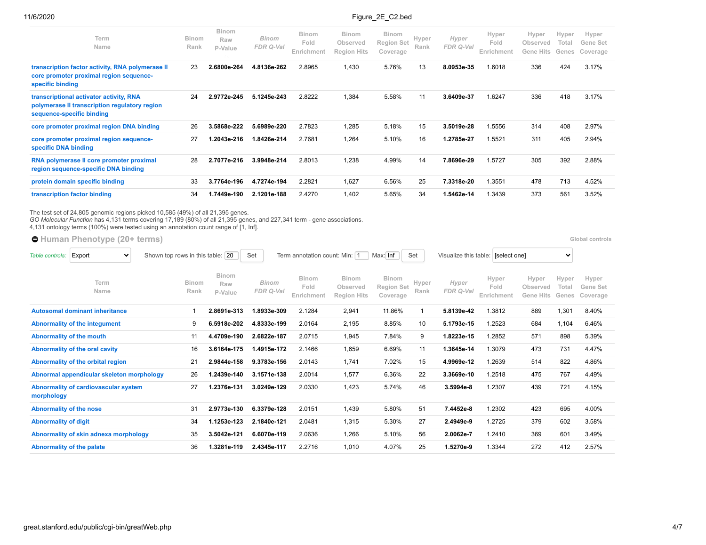| Term<br>Name                                                                                                          | <b>Binom</b><br>Rank | <b>Binom</b><br>Raw<br>P-Value | <b>Binom</b><br>FDR Q-Val | <b>Binom</b><br>Fold<br>Enrichment | <b>Binom</b><br>Observed<br><b>Region Hits</b> | <b>Binom</b><br><b>Region Set</b><br>Coverage | Hyper<br>Rank | Hyper<br>FDR Q-Val | Hyper<br>Fold<br>Enrichment | Hyper<br>Observed<br>Gene Hits | Hyper<br>Total<br>Genes | Hyper<br>Gene Set<br>Coverage |
|-----------------------------------------------------------------------------------------------------------------------|----------------------|--------------------------------|---------------------------|------------------------------------|------------------------------------------------|-----------------------------------------------|---------------|--------------------|-----------------------------|--------------------------------|-------------------------|-------------------------------|
| transcription factor activity, RNA polymerase II<br>core promoter proximal region sequence-<br>specific binding       | 23                   | 2.6800e-264                    | 4.8136e-262               | 2.8965                             | 1,430                                          | 5.76%                                         | 13            | 8.0953e-35         | 1.6018                      | 336                            | 424                     | 3.17%                         |
| transcriptional activator activity, RNA<br>polymerase II transcription regulatory region<br>sequence-specific binding | 24                   | 2.9772e-245                    | 5.1245e-243               | 2.8222                             | 1,384                                          | 5.58%                                         | 11            | 3.6409e-37         | 1.6247                      | 336                            | 418                     | 3.17%                         |
| core promoter proximal region DNA binding                                                                             | 26                   | 3.5868e-222                    | 5.6989e-220               | 2.7823                             | 1,285                                          | 5.18%                                         | 15            | 3.5019e-28         | 1.5556                      | 314                            | 408                     | 2.97%                         |
| core promoter proximal region sequence-<br>specific DNA binding                                                       | 27                   | .2043e-216                     | 1.8426e-214               | 2.7681                             | 1,264                                          | 5.10%                                         | 16            | 1.2785e-27         | 1.5521                      | 311                            | 405                     | 2.94%                         |
| RNA polymerase II core promoter proximal<br>region sequence-specific DNA binding                                      | 28                   | 2.7077e-216                    | 3.9948e-214               | 2.8013                             | 1,238                                          | 4.99%                                         | 14            | 7.8696e-29         | 1.5727                      | 305                            | 392                     | 2.88%                         |
| protein domain specific binding                                                                                       | 33                   | 3.7764e-196                    | 4.7274e-194               | 2.2821                             | 1,627                                          | 6.56%                                         | 25            | 7.3318e-20         | 1.3551                      | 478                            | 713                     | 4.52%                         |
| transcription factor binding                                                                                          | 34                   | .7449e-190                     | 2.1201e-188               | 2.4270                             | 1.402                                          | 5.65%                                         | 34            | 1.5462e-14         | 1.3439                      | 373                            | 561                     | 3.52%                         |

The test set of 24,805 genomic regions picked 10,585 (49%) of all 21,395 genes.<br>*GO Molecular Function* has 4,131 terms covering 17,189 (80%) of all 21,395 genes, and 227,341 term - gene associations.<br>4,131 ontology terms

● [Human Phenotype](https://great-help.atlassian.net/wiki/spaces/GREAT/Human+Phenotype) (20+ terms) **Blook** controls **Clobal controls** 

| Table controls:                  | Export<br>$\checkmark$                    | Shown top rows in this table: | 20                      | Set                       | Term annotation count: Min:   1    |                                         | Max: Inf                                      | Set           | Visualize this table: | [select one]                |                                       | $\checkmark$            |                               |
|----------------------------------|-------------------------------------------|-------------------------------|-------------------------|---------------------------|------------------------------------|-----------------------------------------|-----------------------------------------------|---------------|-----------------------|-----------------------------|---------------------------------------|-------------------------|-------------------------------|
|                                  | Term<br>Name                              | <b>Binom</b><br>Rank          | Binom<br>Raw<br>P-Value | <b>Binom</b><br>FDR Q-Val | <b>Binom</b><br>Fold<br>Enrichment | Binom<br>Observed<br><b>Region Hits</b> | <b>Binom</b><br><b>Region Set</b><br>Coverage | Hyper<br>Rank | Hyper<br>FDR Q-Val    | Hyper<br>Fold<br>Enrichment | Hyper<br>Observed<br><b>Gene Hits</b> | Hyper<br>Total<br>Genes | Hyper<br>Gene Set<br>Coverage |
|                                  | <b>Autosomal dominant inheritance</b>     |                               | 2.8691e-313             | 1.8933e-309               | 2.1284                             | 2,941                                   | 11.86%                                        | 1             | 5.8139e-42            | 1.3812                      | 889                                   | 1,301                   | 8.40%                         |
|                                  | Abnormality of the integument             | 9                             | 6.5918e-202             | 4.8333e-199               | 2.0164                             | 2,195                                   | 8.85%                                         | 10            | 5.1793e-15            | 1.2523                      | 684                                   | 1,104                   | 6.46%                         |
|                                  | <b>Abnormality of the mouth</b>           | 11                            | 4.4709e-190             | 2.6822e-187               | 2.0715                             | 1,945                                   | 7.84%                                         | 9             | 1.8223e-15            | 1.2852                      | 571                                   | 898                     | 5.39%                         |
|                                  | Abnormality of the oral cavity            | 16                            | 3.6164e-175             | 1.4915e-172               | 2.1466                             | 1,659                                   | 6.69%                                         | 11            | 1.3645e-14            | 1.3079                      | 473                                   | 731                     | 4.47%                         |
|                                  | Abnormality of the orbital region         | 21                            | 2.9844e-158             | 9.3783e-156               | 2.0143                             | 1,741                                   | 7.02%                                         | 15            | 4.9969e-12            | 1.2639                      | 514                                   | 822                     | 4.86%                         |
|                                  | Abnormal appendicular skeleton morphology | 26                            | 1.2439e-140             | 3.1571e-138               | 2.0014                             | 1,577                                   | 6.36%                                         | 22            | 3.3669e-10            | 1.2518                      | 475                                   | 767                     | 4.49%                         |
| morphology                       | Abnormality of cardiovascular system      | 27                            | 1.2376e-131             | 3.0249e-129               | 2.0330                             | 1,423                                   | 5.74%                                         | 46            | 3.5994e-8             | 1.2307                      | 439                                   | 721                     | 4.15%                         |
| <b>Abnormality of the nose</b>   |                                           | 31                            | 2.9773e-130             | 6.3379e-128               | 2.0151                             | 1,439                                   | 5.80%                                         | 51            | 7.4452e-8             | 1.2302                      | 423                                   | 695                     | 4.00%                         |
| <b>Abnormality of digit</b>      |                                           | 34                            | 1.1253e-123             | 2.1840e-121               | 2.0481                             | 1,315                                   | 5.30%                                         | 27            | 2.4949e-9             | 1.2725                      | 379                                   | 602                     | 3.58%                         |
|                                  | Abnormality of skin adnexa morphology     | 35                            | 3.5042e-121             | 6.6070e-119               | 2.0636                             | 1,266                                   | 5.10%                                         | 56            | 2.0062e-7             | 1.2410                      | 369                                   | 601                     | 3.49%                         |
| <b>Abnormality of the palate</b> |                                           | 36                            | 1.3281e-119             | 2.4345e-117               | 2.2716                             | 1,010                                   | 4.07%                                         | 25            | 1.5270e-9             | 1.3344                      | 272                                   | 412                     | 2.57%                         |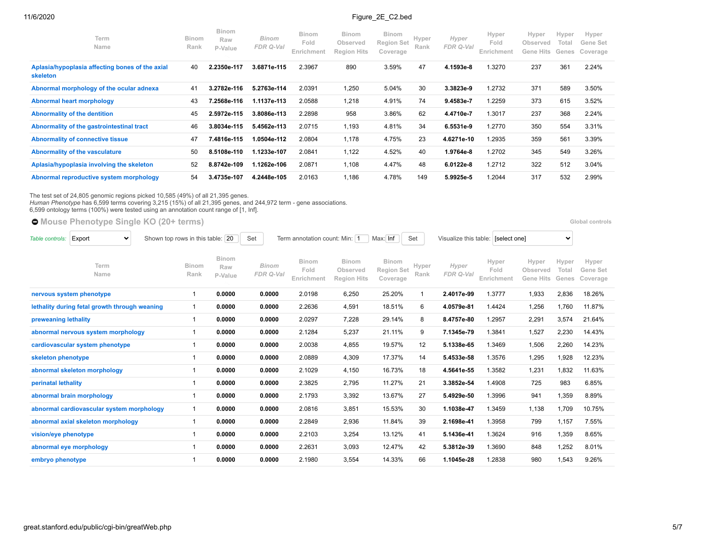| Term<br><b>Name</b>                                         | <b>Binom</b><br>Rank | <b>Binom</b><br>Raw<br>P-Value | <b>Binom</b><br>FDR Q-Val | <b>Binom</b><br>Fold<br>Enrichment | <b>Binom</b><br>Observed<br><b>Region Hits</b> | <b>Binom</b><br><b>Region Set</b><br>Coverage | Hyper<br>Rank | Hyper<br>FDR Q-Val | Hyper<br>Fold<br>Enrichment | Hyper<br>Observed<br>Gene Hits | Hyper<br>Total<br>Genes | Hyper<br>Gene Set<br>Coverage |
|-------------------------------------------------------------|----------------------|--------------------------------|---------------------------|------------------------------------|------------------------------------------------|-----------------------------------------------|---------------|--------------------|-----------------------------|--------------------------------|-------------------------|-------------------------------|
| Aplasia/hypoplasia affecting bones of the axial<br>skeleton | 40                   | 2.2350e-117                    | 3.6871e-115               | 2.3967                             | 890                                            | 3.59%                                         | 47            | 4.1593e-8          | 1.3270                      | 237                            | 361                     | 2.24%                         |
| Abnormal morphology of the ocular adnexa                    | 41                   | 3.2782e-116                    | 5.2763e-114               | 2.0391                             | 1,250                                          | 5.04%                                         | 30            | 3.3823e-9          | 1.2732                      | 371                            | 589                     | 3.50%                         |
| Abnormal heart morphology                                   | 43                   | 7.2568e-116                    | 1.1137e-113               | 2.0588                             | 1,218                                          | 4.91%                                         | 74            | 9.4583e-7          | 1.2259                      | 373                            | 615                     | 3.52%                         |
| <b>Abnormality of the dentition</b>                         | 45                   | 2.5972e-115                    | 3.8086e-113               | 2.2898                             | 958                                            | 3.86%                                         | 62            | 4.4710e-7          | 1.3017                      | 237                            | 368                     | 2.24%                         |
| Abnormality of the gastrointestinal tract                   | 46                   | 3.8034e-115                    | 5.4562e-113               | 2.0715                             | 1,193                                          | 4.81%                                         | 34            | 6.5531e-9          | 1.2770                      | 350                            | 554                     | 3.31%                         |
| <b>Abnormality of connective tissue</b>                     | 47                   | 7.4816e-115                    | 1.0504e-112               | 2.0804                             | 1,178                                          | 4.75%                                         | 23            | 4.6271e-10         | 1.2935                      | 359                            | 561                     | 3.39%                         |
| Abnormality of the vasculature                              | 50                   | 8.5108e-110                    | 1.1233e-107               | 2.0841                             | 1,122                                          | 4.52%                                         | 40            | 1.9764e-8          | 1.2702                      | 345                            | 549                     | 3.26%                         |
| Aplasia/hypoplasia involving the skeleton                   | 52                   | 8.8742e-109                    | 1.1262e-106               | 2.0871                             | 1,108                                          | 4.47%                                         | 48            | 6.0122e-8          | 1.2712                      | 322                            | 512                     | 3.04%                         |
| Abnormal reproductive system morphology                     | 54                   | 3.4735e-107                    | 4.2448e-105               | 2.0163                             | 1.186                                          | 4.78%                                         | 149           | 5.9925e-5          | 1.2044                      | 317                            | 532                     | 2.99%                         |

The test set of 24,805 genomic regions picked 10,585 (49%) of all 21,395 genes.<br>*Human Phenotype* has 6,599 terms covering 3,215 (15%) of all 21,395 genes, and 244,972 term - gene associations.<br>6,599 ontology terms (100%)

# **[Mouse Phenotype Single KO](https://great-help.atlassian.net/wiki/spaces/GREAT/Mouse+Phenotype+Single+KO) (20+ terms) [Global controls](http://great.stanford.edu/public/cgi-bin/greatWeb.php#global_controls_header)**

| Table controls:                    | Shown top rows in this table:<br>Export<br>20<br>v |  |                      |                                | Set |                           | Term annotation count: Min: 1      |                                                | Max: Inf                                      | Set           |                    | Visualize this table:   [select one] |                                | $\checkmark$            |                               |
|------------------------------------|----------------------------------------------------|--|----------------------|--------------------------------|-----|---------------------------|------------------------------------|------------------------------------------------|-----------------------------------------------|---------------|--------------------|--------------------------------------|--------------------------------|-------------------------|-------------------------------|
|                                    | Term<br>Name                                       |  | <b>Binom</b><br>Rank | <b>Binom</b><br>Raw<br>P-Value |     | <b>Binom</b><br>FDR Q-Val | <b>Binom</b><br>Fold<br>Enrichment | <b>Binom</b><br>Observed<br><b>Region Hits</b> | <b>Binom</b><br><b>Region Set</b><br>Coverage | Hyper<br>Rank | Hyper<br>FDR Q-Val | Hyper<br>Fold<br>Enrichment          | Hyper<br>Observed<br>Gene Hits | Hyper<br>Total<br>Genes | Hyper<br>Gene Set<br>Coverage |
|                                    | nervous system phenotype                           |  | 1                    | 0.0000                         |     | 0.0000                    | 2.0198                             | 6,250                                          | 25.20%                                        |               | 2.4017e-99         | 1.3777                               | 1,933                          | 2,836                   | 18.26%                        |
|                                    | lethality during fetal growth through weaning      |  | 1                    | 0.0000                         |     | 0.0000                    | 2.2636                             | 4,591                                          | 18.51%                                        | 6             | 4.0579e-81         | 1.4424                               | 1,256                          | 1.760                   | 11.87%                        |
| preweaning lethality               |                                                    |  | 1                    | 0.0000                         |     | 0.0000                    | 2.0297                             | 7,228                                          | 29.14%                                        | 8             | 8.4757e-80         | 1.2957                               | 2,291                          | 3,574                   | 21.64%                        |
| abnormal nervous system morphology |                                                    |  | 1                    | 0.0000                         |     | 0.0000                    | 2.1284                             | 5,237                                          | 21.11%                                        | 9             | 7.1345e-79         | 1.3841                               | 1,527                          | 2,230                   | 14.43%                        |
| cardiovascular system phenotype    |                                                    |  |                      | 0.0000                         |     | 0.0000                    | 2.0038                             | 4,855                                          | 19.57%                                        | 12            | 5.1338e-65         | 1.3469                               | 1,506                          | 2,260                   | 14.23%                        |
| skeleton phenotype                 |                                                    |  |                      | 0.0000                         |     | 0.0000                    | 2.0889                             | 4,309                                          | 17.37%                                        | 14            | 5.4533e-58         | 1.3576                               | 1,295                          | 1,928                   | 12.23%                        |
|                                    | abnormal skeleton morphology                       |  |                      | 0.0000                         |     | 0.0000                    | 2.1029                             | 4,150                                          | 16.73%                                        | 18            | 4.5641e-55         | 1.3582                               | 1,231                          | 1,832                   | 11.63%                        |
| perinatal lethality                |                                                    |  | 1                    | 0.0000                         |     | 0.0000                    | 2.3825                             | 2,795                                          | 11.27%                                        | 21            | 3.3852e-54         | 1.4908                               | 725                            | 983                     | 6.85%                         |
|                                    | abnormal brain morphology                          |  | 1                    | 0.0000                         |     | 0.0000                    | 2.1793                             | 3,392                                          | 13.67%                                        | 27            | 5.4929e-50         | 1.3996                               | 941                            | 1,359                   | 8.89%                         |
|                                    | abnormal cardiovascular system morphology          |  | 1                    | 0.0000                         |     | 0.0000                    | 2.0816                             | 3,851                                          | 15.53%                                        | 30            | 1.1038e-47         | 1.3459                               | 1,138                          | 1,709                   | 10.75%                        |
|                                    | abnormal axial skeleton morphology                 |  |                      | 0.0000                         |     | 0.0000                    | 2.2849                             | 2,936                                          | 11.84%                                        | 39            | 2.1698e-41         | 1.3958                               | 799                            | 1,157                   | 7.55%                         |
| vision/eye phenotype               |                                                    |  |                      | 0.0000                         |     | 0.0000                    | 2.2103                             | 3,254                                          | 13.12%                                        | 41            | 5.1436e-41         | 1.3624                               | 916                            | 1,359                   | 8.65%                         |
|                                    | abnormal eye morphology                            |  |                      | 0.0000                         |     | 0.0000                    | 2.2631                             | 3,093                                          | 12.47%                                        | 42            | 5.3812e-39         | 1.3690                               | 848                            | 1,252                   | 8.01%                         |
| embryo phenotype                   |                                                    |  |                      | 0.0000                         |     | 0.0000                    | 2.1980                             | 3,554                                          | 14.33%                                        | 66            | 1.1045e-28         | 1.2838                               | 980                            | 1,543                   | 9.26%                         |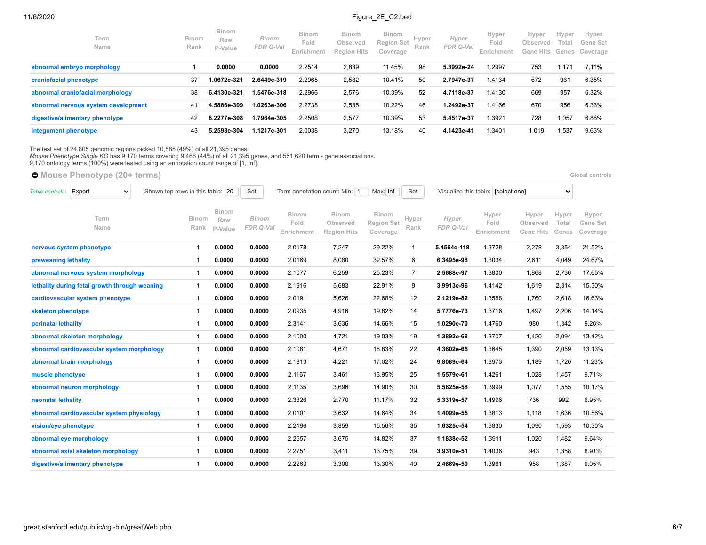| Term<br>Name                        | <b>Binom</b><br>Rank | <b>Binom</b><br>Raw<br>P-Value | <b>Binom</b><br>FDR Q-Val | <b>Binom</b><br>Fold<br>Enrichment | <b>Binom</b><br>Observed<br><b>Region Hits</b> | <b>Binom</b><br>Region Set<br>Coverage | Hyper<br>Rank | Hyper<br>FDR Q-Val | Hyper<br>Fold<br>Enrichmenf | Hyper<br>Observed<br>Gene Hits | Hyper<br>Total | Hyper<br>Gene Set<br>Genes Coverage |
|-------------------------------------|----------------------|--------------------------------|---------------------------|------------------------------------|------------------------------------------------|----------------------------------------|---------------|--------------------|-----------------------------|--------------------------------|----------------|-------------------------------------|
| abnormal embryo morphology          |                      | 0.0000                         | 0.0000                    | 2.2514                             | 2,839                                          | 11.45%                                 | 98            | 5.3992e-24         | 1.2997                      | 753                            | 1.17'          | 7.11%                               |
| craniofacial phenotype              | 37                   | 0672e-321.                     | 2.6449e-319               | 2.2965                             | 2,582                                          | 10.41%                                 | 50            | 2.7947e-37         | 1.4134                      | 672                            | 961            | 6.35%                               |
| abnormal craniofacial morphology    | 38                   | 6.4130e-321                    | 1.5476e-318               | 2.2966                             | 2,576                                          | 10.39%                                 | 52            | 4.7118e-37         | 1.4130                      | 669                            | 957            | 6.32%                               |
| abnormal nervous system development | 41                   | 4.5886e-309                    | 1.0263e-306               | 2.2738                             | 2,535                                          | 10.22%                                 | 46            | 1.2492e-37         | 1.4166                      | 670                            | 956            | 6.33%                               |
| digestive/alimentary phenotype      | 42                   | 8.2277e-308                    | I.7964e-305               | 2.2508                             | 2,577                                          | 10.39%                                 | 53            | 5.4517e-37         | 1.3921                      | 728                            | 1,057          | 6.88%                               |
| integument phenotype                | 43                   | 5.2598e-304                    | 1.1217e-301               | 2.0038                             | 3,270                                          | 13.18%                                 | 40            | 4.1423e-41         | .3401                       | 1.019                          | 1.537          | 9.63%                               |

The test set of 24,805 genomic regions picked 10,585 (49%) of all 21,395 genes.<br>*Mouse Phenotype Single KO* has 9,170 terms covering 9,466 (44%) of all 21,395 genes, and 551,620 term - gene associations.<br>9,170 ontology ter

|                      | ● Mouse Phenotype (20+ terms)                 |                                  |                                |                           |                                    |                                                |                                               |                |                    |                                    |                                       |                         | Global controls               |
|----------------------|-----------------------------------------------|----------------------------------|--------------------------------|---------------------------|------------------------------------|------------------------------------------------|-----------------------------------------------|----------------|--------------------|------------------------------------|---------------------------------------|-------------------------|-------------------------------|
| Table controls:      | Export<br>$\checkmark$                        | Shown top rows in this table: 20 |                                | Set                       | Term annotation count: Min: 1      |                                                | Max: Inf                                      | Set            |                    | Visualize this table: [select one] |                                       | $\checkmark$            |                               |
|                      | Term<br>Name                                  | Binom<br>Rank                    | <b>Binom</b><br>Raw<br>P-Value | <b>Binom</b><br>FDR Q-Val | <b>Binom</b><br>Fold<br>Enrichment | <b>Binom</b><br>Observed<br><b>Region Hits</b> | <b>Binom</b><br><b>Region Set</b><br>Coverage | Hyper<br>Rank  | Hyper<br>FDR Q-Val | Hyper<br>Fold<br>Enrichment        | Hyper<br>Observed<br><b>Gene Hits</b> | Hyper<br>Total<br>Genes | Hyper<br>Gene Set<br>Coverage |
|                      | nervous system phenotype                      | -1                               | 0.0000                         | 0.0000                    | 2.0178                             | 7,247                                          | 29.22%                                        | $\mathbf{1}$   | 5.4564e-118        | 1.3728                             | 2,278                                 | 3,354                   | 21.52%                        |
| preweaning lethality |                                               | $\mathbf 1$                      | 0.0000                         | 0.0000                    | 2.0169                             | 8,080                                          | 32.57%                                        | 6              | 6.3495e-98         | 1.3034                             | 2,611                                 | 4,049                   | 24.67%                        |
|                      | abnormal nervous system morphology            | $\mathbf{1}$                     | 0.0000                         | 0.0000                    | 2.1077                             | 6,259                                          | 25.23%                                        | $\overline{7}$ | 2.5688e-97         | 1.3800                             | 1,868                                 | 2,736                   | 17.65%                        |
|                      | lethality during fetal growth through weaning | $\mathbf{1}$                     | 0.0000                         | 0.0000                    | 2.1916                             | 5,683                                          | 22.91%                                        | 9              | 3.9913e-96         | 1.4142                             | 1,619                                 | 2,314                   | 15.30%                        |
|                      | cardiovascular system phenotype               | $\mathbf 1$                      | 0.0000                         | 0.0000                    | 2.0191                             | 5,626                                          | 22.68%                                        | 12             | 2.1219e-82         | 1.3588                             | 1,760                                 | 2,618                   | 16.63%                        |
| skeleton phenotype   |                                               | $\mathbf{1}$                     | 0.0000                         | 0.0000                    | 2.0935                             | 4,916                                          | 19.82%                                        | 14             | 5.7776e-73         | 1.3716                             | 1,497                                 | 2,206                   | 14.14%                        |
| perinatal lethality  |                                               | $\mathbf 1$                      | 0.0000                         | 0.0000                    | 2.3141                             | 3,636                                          | 14.66%                                        | 15             | 1.0290e-70         | 1.4760                             | 980                                   | 1,342                   | 9.26%                         |
|                      | abnormal skeleton morphology                  | $\mathbf 1$                      | 0.0000                         | 0.0000                    | 2.1000                             | 4,721                                          | 19.03%                                        | 19             | 1.3892e-68         | 1.3707                             | 1,420                                 | 2,094                   | 13.42%                        |
|                      | abnormal cardiovascular system morphology     | $\mathbf{1}$                     | 0.0000                         | 0.0000                    | 2.1081                             | 4,671                                          | 18.83%                                        | 22             | 4.3602e-65         | 1.3645                             | 1,390                                 | 2,059                   | 13.13%                        |
|                      | abnormal brain morphology                     | $\mathbf{1}$                     | 0.0000                         | 0.0000                    | 2.1813                             | 4,221                                          | 17.02%                                        | 24             | 9.8089e-64         | 1.3973                             | 1,189                                 | 1,720                   | 11.23%                        |
| muscle phenotype     |                                               | $\mathbf 1$                      | 0.0000                         | 0.0000                    | 2.1167                             | 3,461                                          | 13.95%                                        | 25             | 1.5579e-61         | 1.4261                             | 1,028                                 | 1,457                   | 9.71%                         |
|                      | abnormal neuron morphology                    | $\mathbf{1}$                     | 0.0000                         | 0.0000                    | 2.1135                             | 3,696                                          | 14.90%                                        | 30             | 5.5625e-58         | 1.3999                             | 1,077                                 | 1,555                   | 10.17%                        |
| neonatal lethality   |                                               | $\mathbf{1}$                     | 0.0000                         | 0.0000                    | 2.3326                             | 2,770                                          | 11.17%                                        | 32             | 5.3319e-57         | 1.4996                             | 736                                   | 992                     | 6.95%                         |
|                      | abnormal cardiovascular system physiology     | $\mathbf{1}$                     | 0.0000                         | 0.0000                    | 2.0101                             | 3,632                                          | 14.64%                                        | 34             | 1.4099e-55         | 1.3813                             | 1,118                                 | 1,636                   | 10.56%                        |
| vision/eye phenotype |                                               | $\mathbf{1}$                     | 0.0000                         | 0.0000                    | 2.2196                             | 3,859                                          | 15.56%                                        | 35             | 1.6325e-54         | 1.3830                             | 1,090                                 | 1,593                   | 10.30%                        |
|                      | abnormal eye morphology                       | -1                               | 0.0000                         | 0.0000                    | 2.2657                             | 3,675                                          | 14.82%                                        | 37             | 1.1838e-52         | 1.3911                             | 1,020                                 | 1,482                   | 9.64%                         |
|                      | abnormal axial skeleton morphology            | -1                               | 0.0000                         | 0.0000                    | 2.2751                             | 3,411                                          | 13.75%                                        | 39             | 3.9310e-51         | 1.4036                             | 943                                   | 1,358                   | 8.91%                         |
|                      | digestive/alimentary phenotype                |                                  | 0.0000                         | 0.0000                    | 2.2263                             | 3,300                                          | 13.30%                                        | 40             | 2.4669e-50         | 1.3961                             | 958                                   | 1,387                   | 9.05%                         |